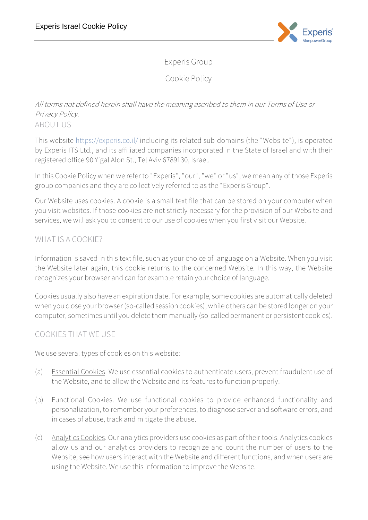

### Experis Group

Cookie Policy

#### All terms not defined herein shall have the meaning ascribed to them in our Terms of Use or Privacy Policy. ABOUT US

This website<https://experis.co.il/> including its related sub-domains (the "**Website**"), is operated by Experis ITS Ltd., and its affiliated companies incorporated in the State of Israel and with their registered office 90 Yigal Alon St., Tel Aviv 6789130, Israel.

In this Cookie Policy when we refer to "Experis", "our", "we" or "us", we mean any of those Experis group companies and they are collectively referred to as the "Experis Group".

Our Website uses cookies. A cookie is a small text file that can be stored on your computer when you visit websites. If those cookies are not strictly necessary for the provision of our Website and services, we will ask you to consent to our use of cookies when you first visit our Website.

# WHAT IS A COOKIE?

Information is saved in this text file, such as your choice of language on a Website. When you visit the Website later again, this cookie returns to the concerned Website. In this way, the Website recognizes your browser and can for example retain your choice of language.

Cookies usually also have an expiration date. For example, some cookies are automatically deleted when you close your browser (so-called session cookies), while others can be stored longer on your computer, sometimes until you delete them manually (so-called permanent or persistent cookies).

### COOKIES THAT WE USE

We use several types of cookies on this website:

- (a) Essential Cookies. We use essential cookies to authenticate users, prevent fraudulent use of the Website, and to allow the Website and its features to function properly.
- (b) Functional Cookies. We use functional cookies to provide enhanced functionality and personalization, to remember your preferences, to diagnose server and software errors, and in cases of abuse, track and mitigate the abuse.
- (c) Analytics Cookies. Our analytics providers use cookies as part of their tools. Analytics cookies allow us and our analytics providers to recognize and count the number of users to the Website, see how users interact with the Website and different functions, and when users are using the Website. We use this information to improve the Website.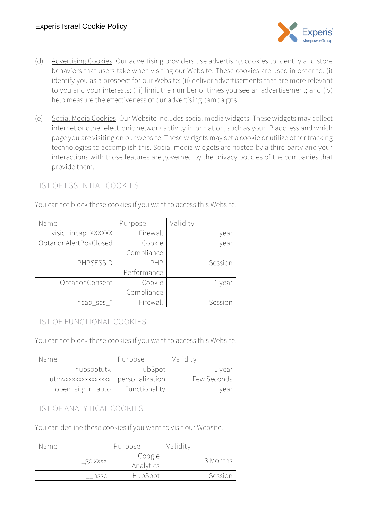

- (d) Advertising Cookies. Our advertising providers use advertising cookies to identify and store behaviors that users take when visiting our Website. These cookies are used in order to: (i) identify you as a prospect for our Website; (ii) deliver advertisements that are more relevant to you and your interests; (iii) limit the number of times you see an advertisement; and (iv) help measure the effectiveness of our advertising campaigns.
- (e) Social Media Cookies. Our Website includes social media widgets. These widgets may collect internet or other electronic network activity information, such as your IP address and which page you are visiting on our website. These widgets may set a cookie or utilize other tracking technologies to accomplish this. Social media widgets are hosted by a third party and your interactions with those features are governed by the privacy policies of the companies that provide them.

# **LIST OF ESSENTIAL COOKIES**

| Name                  | Purpose     | Validity |
|-----------------------|-------------|----------|
| visid_incap_XXXXXX    | Firewall    | 1 year   |
| OptanonAlertBoxClosed | Cookie      | 1 year   |
|                       | Compliance  |          |
| PHPSESSID             | PHP         | Session  |
|                       | Performance |          |
| OptanonConsent        | Cookie      | 1 year   |
|                       | Compliance  |          |
| incap_ses_            | Firewall    | Session  |

You cannot block these cookies if you want to access this Website.

# **LIST OF FUNCTIONAL COOKIES**

You cannot block these cookies if you want to access this Website.

| Name              | Purpose         | Validity    |
|-------------------|-----------------|-------------|
| hubspotutk        | HubSpot         | 1 vear      |
| utmvxxxxxxxxxxxxx | personalization | Few Seconds |
| open_signin_auto  | Functionality   | l vea       |

### **LIST OF ANALYTICAL COOKIES**

You can decline these cookies if you want to visit our Website.

| Namel    | Purpose             | Validitv |
|----------|---------------------|----------|
| _gclxxxx | Google<br>Analytics | 3 Months |
| hssc     | HubSpot             | Session  |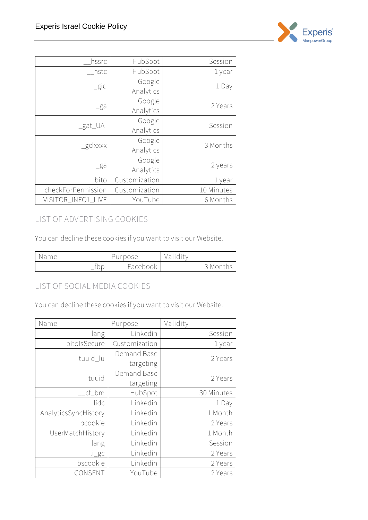

| hssrc              | HubSpot       | Session    |
|--------------------|---------------|------------|
| hstc               | HubSpot       | 1 year     |
|                    | Google        |            |
| $\_gid$            | Analytics     | 1 Day      |
|                    | Google        | 2 Years    |
| $g_{2}$            | Analytics     |            |
|                    | Google        |            |
| _gat_UA-           | Analytics     | Session    |
|                    | Google        | 3 Months   |
| $_{\rm gclxxxx}$   | Analytics     |            |
|                    | Google        |            |
| $g_{\alpha}$       | Analytics     | 2 years    |
| bito               | Customization | 1 year     |
| checkForPermission | Customization | 10 Minutes |
| VISITOR INFO1 LIVE | YouTube       | 6 Months   |

# **LIST OF ADVERTISING COOKIES**

You can decline these cookies if you want to visit our Website.

| Name              | 'rpose<br>◡ | 1.1.1.1.1<br>alidity |          |
|-------------------|-------------|----------------------|----------|
| hr<br>. IUL<br>__ | Facebook    |                      | 3 Months |

# **LIST OF SOCIAL MEDIA COOKIES**

You can decline these cookies if you want to visit our Website.

| Name                 | Purpose       | Validity   |
|----------------------|---------------|------------|
| lang                 | Linkedin      | Session    |
| bitolsSecure         | Customization | 1 year     |
| tuuid_lu             | Demand Base   | 2 Years    |
|                      | targeting     |            |
| tuuid                | Demand Base   | 2 Years    |
|                      | targeting     |            |
| $cf\_bm$             | HubSpot       | 30 Minutes |
| lidc                 | Linkedin      | 1 Day      |
| AnalyticsSyncHistory | Linkedin      | 1 Month    |
| bcookie              | Linkedin      | 2 Years    |
| UserMatchHistory     | Linkedin      | 1 Month    |
| lang                 | Linkedin      | Session    |
| $li_{\_}gc$          | Linkedin      | 2 Years    |
| bscookie             | Linkedin      | 2 Years    |
| CONSENT              | YouTube       | 2 Years    |